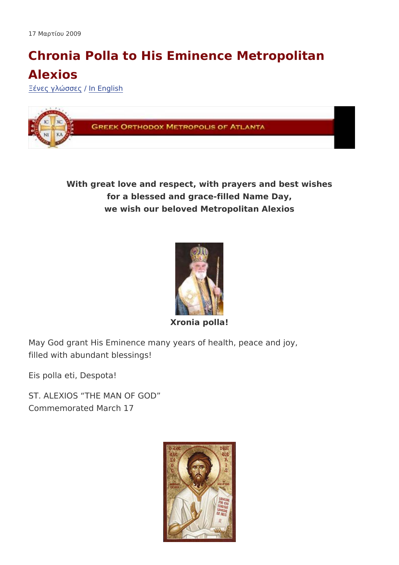## Chronia Polla to His Eminence Metropolitar Alexios

 $\check{z}$  -  $\frac{1}{2}$   $\mu$   $\hat{A}$   $3 \times \hat{I}$   $\tilde{A}$   $\tilde{A}$   $\mu$  $\hat{A}$   $E$  ng l i s h

With great love and respect, with prayers and best wishes for a blessed and grace-filled Name Day, we wish our beloved Metropolitan Alexios

## Xronia polla!

May God grant His Eminence many years of health, peace and jo filled with abundant blessings!

Eis polla eti, Despota!

ST. ALEXIOS THE MAN OF GOD Commemorated March 17